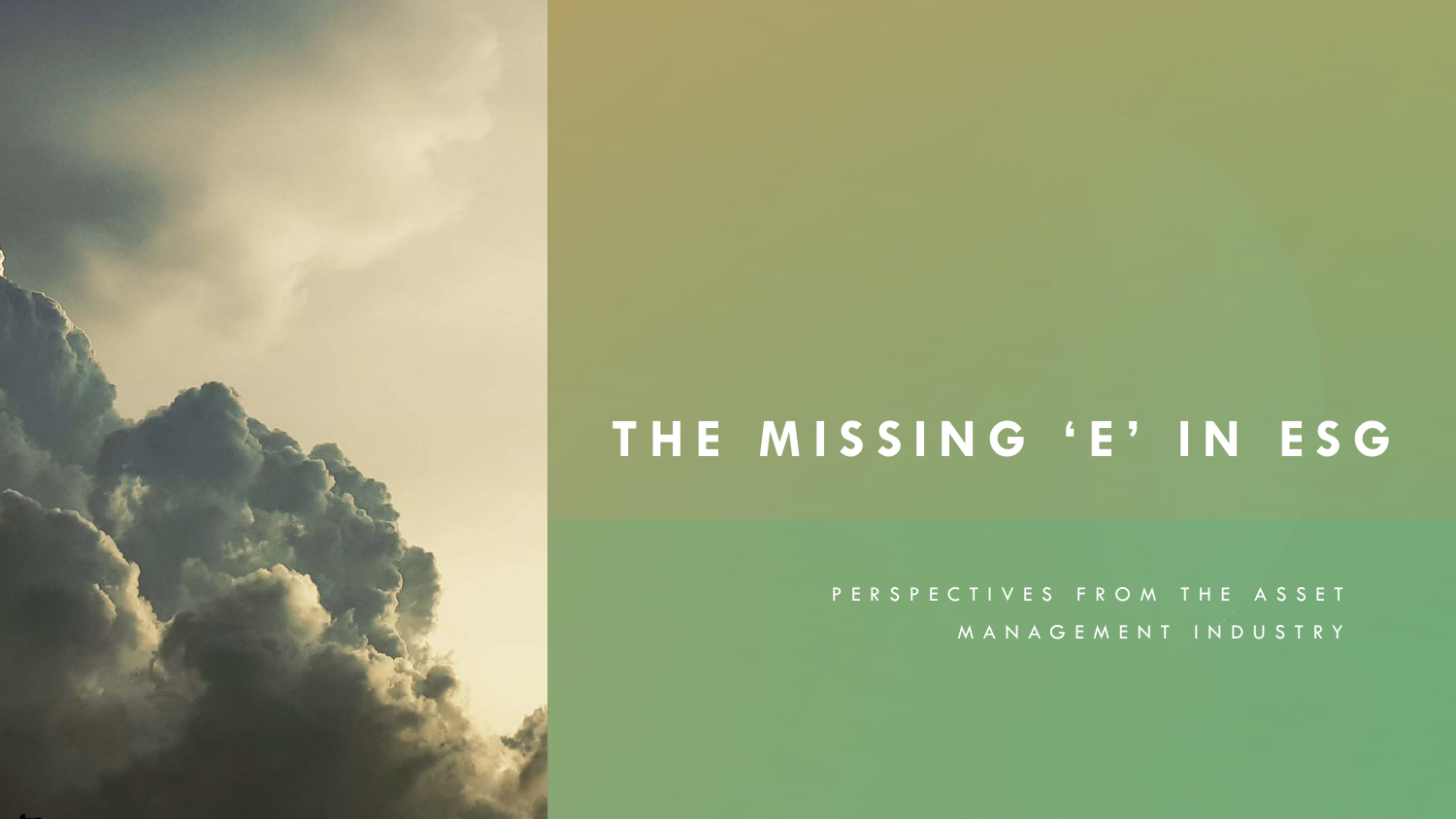# **THE MISSING 'E' IN ESG**

PERSPECTIVES FROM THE ASSET MANAGEMENT INDUSTRY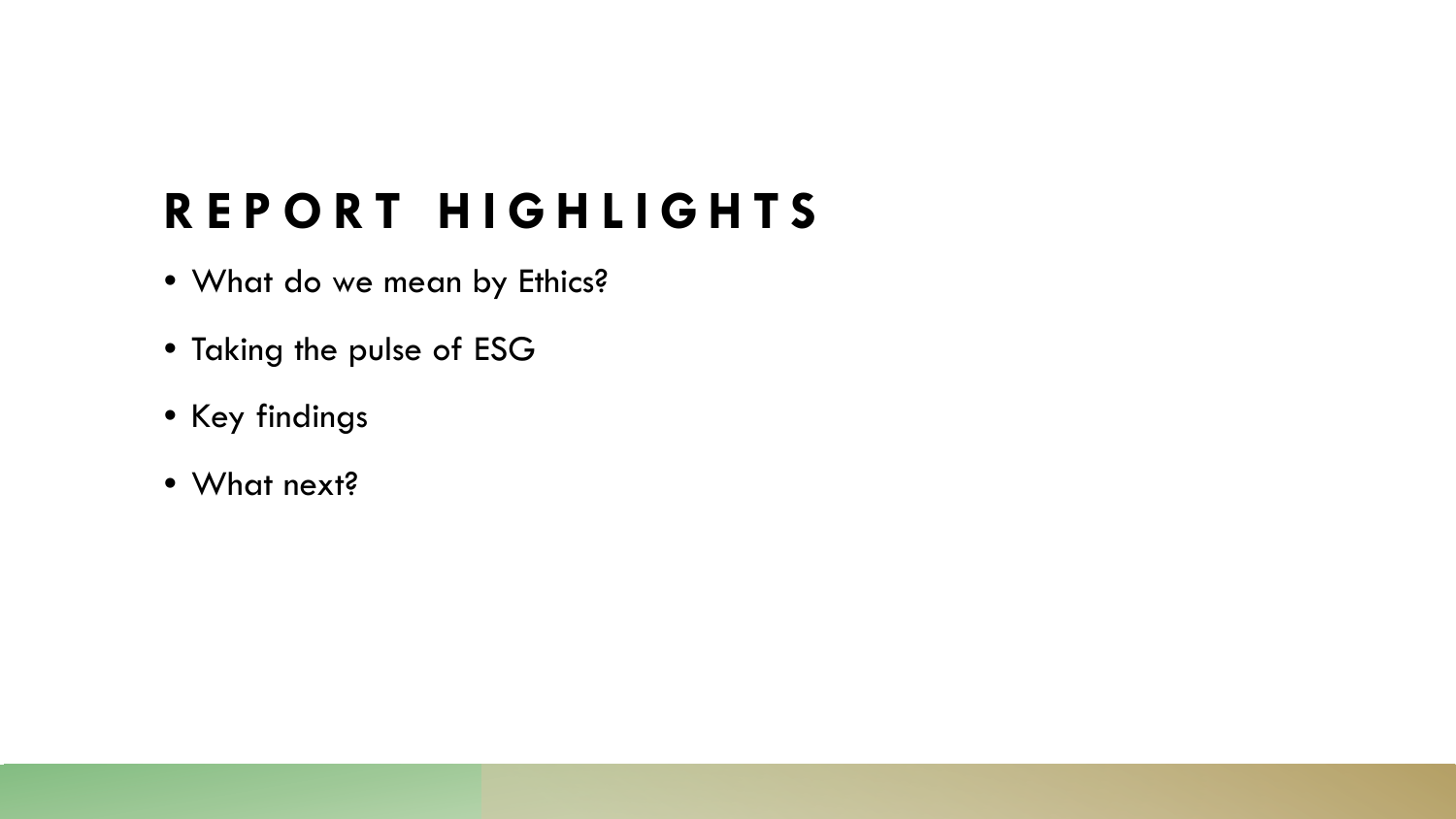# **REPORT HIGHLIGHTS**

- What do we mean by Ethics?
- Taking the pulse of ESG
- Key findings
- What next?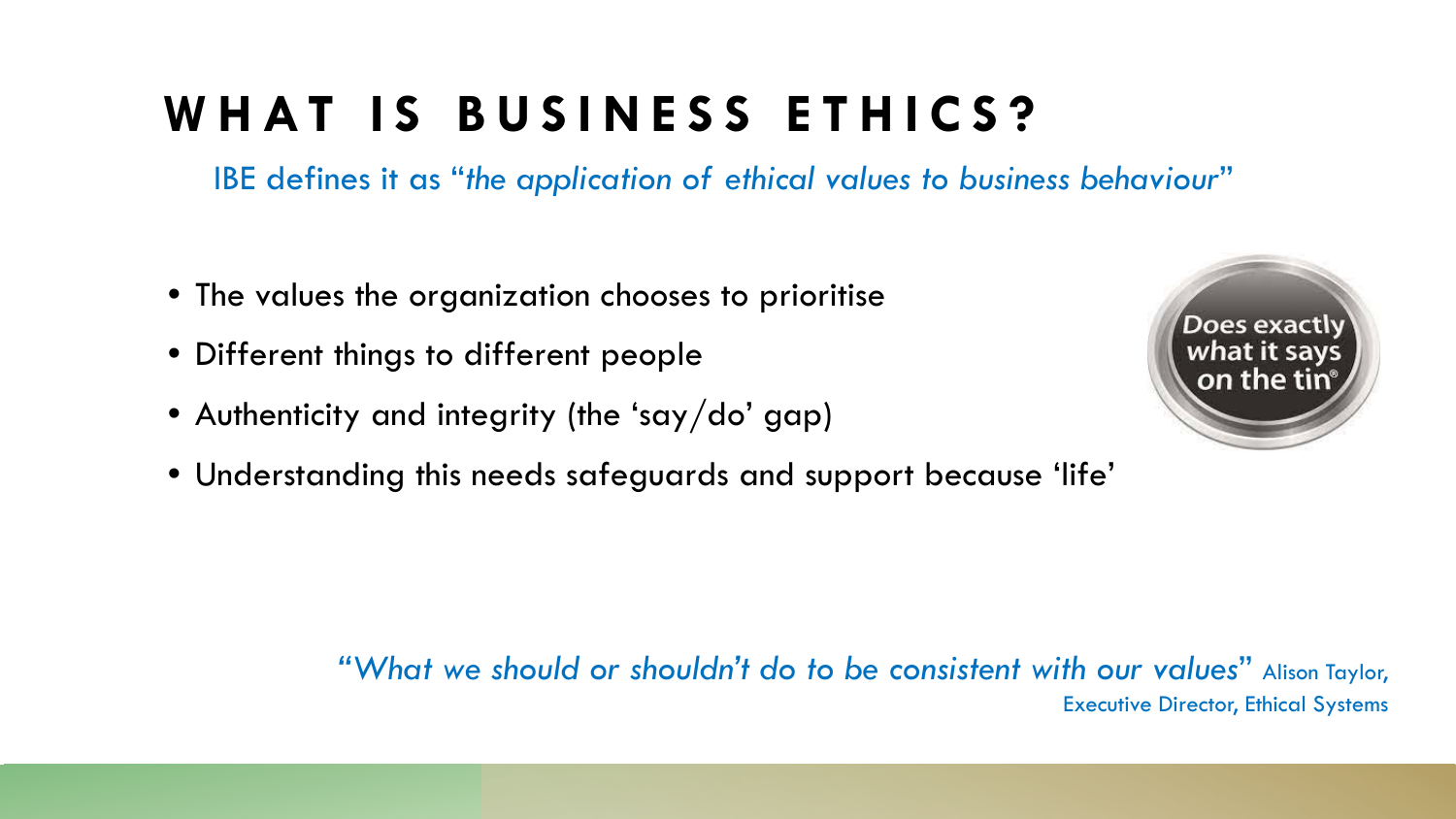## **WHAT IS BUSINESS ETHICS?**

IBE defines it as "*the application of ethical values to business behaviour*"

- The values the organization chooses to prioritise
- Different things to different people
- Authenticity and integrity (the 'say/do' gap)
- Understanding this needs safeguards and support because 'life'



*"What we should or shouldn't do to be consistent with our values*" Alison Taylor, Executive Director, Ethical Systems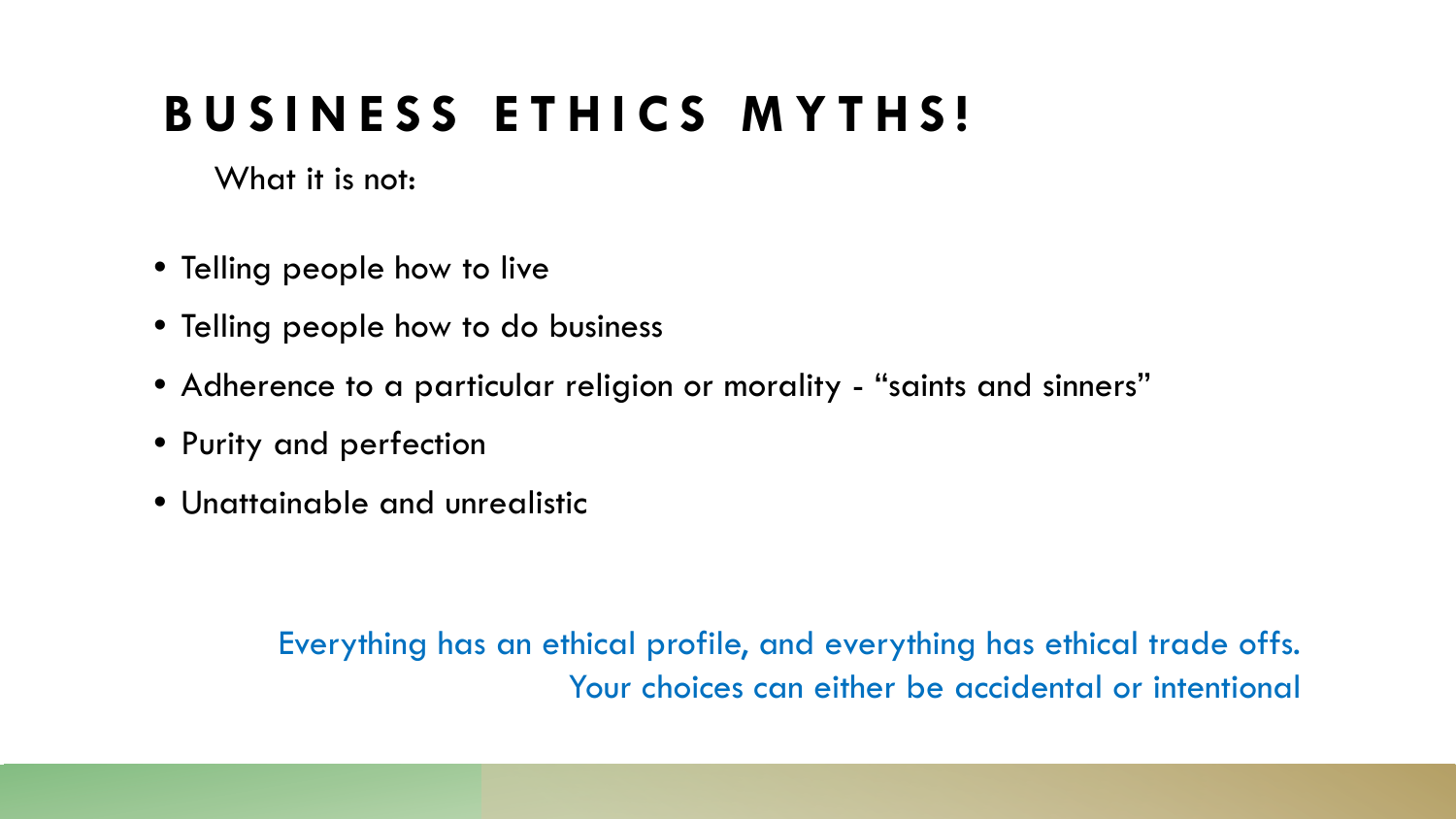### **BUSINESS ETHICS MYTHS!**

What it is not:

- Telling people how to live
- Telling people how to do business
- Adherence to a particular religion or morality "saints and sinners"
- Purity and perfection
- Unattainable and unrealistic

Everything has an ethical profile, and everything has ethical trade offs. Your choices can either be accidental or intentional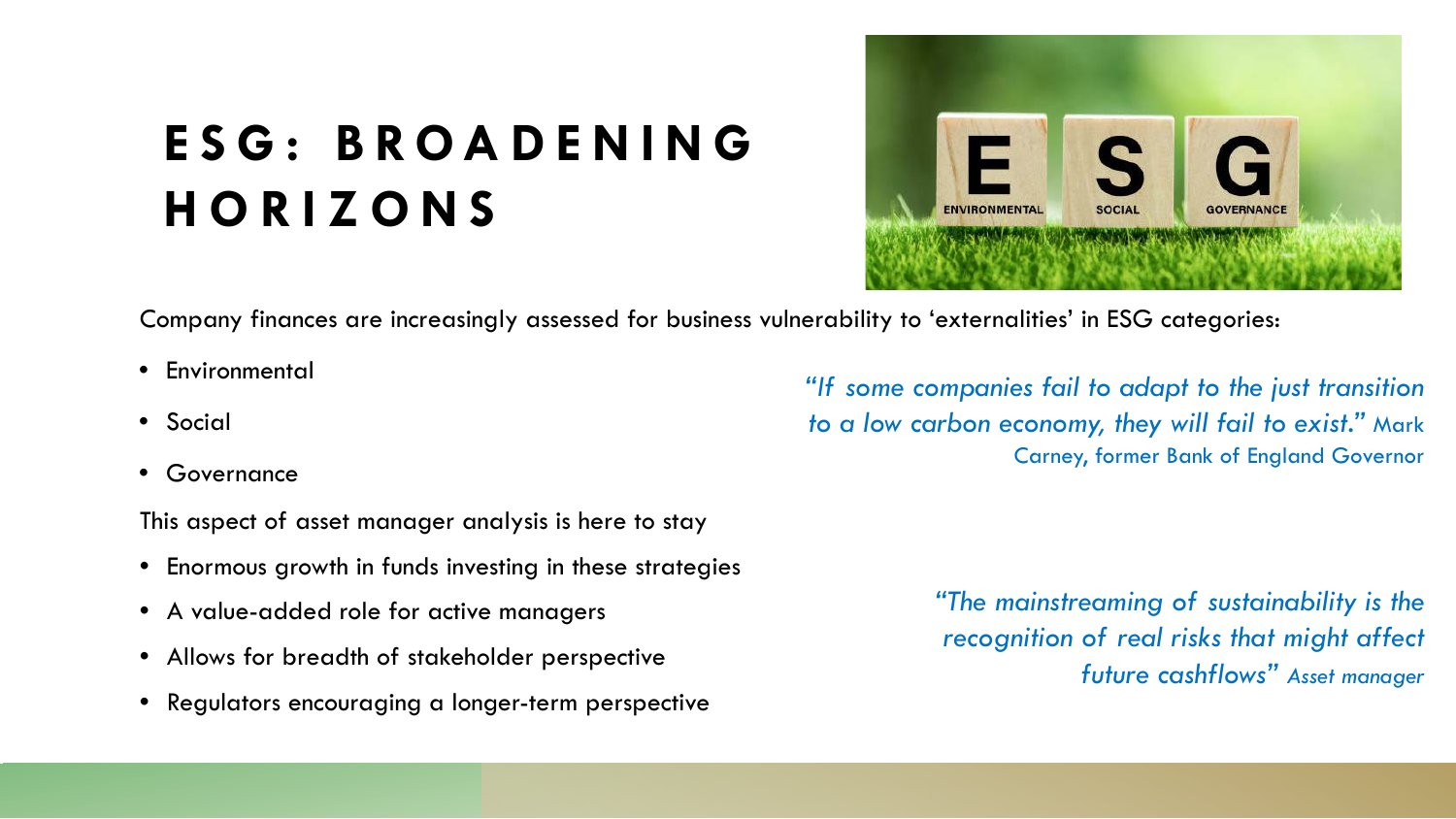# **ESG : BROADENING HORIZONS**



Company finances are increasingly assessed for business vulnerability to 'externalities' in ESG categories:

- Environmental
- Social
- **Governance**

This aspect of asset manager analysis is here to stay

- Enormous growth in funds investing in these strategies
- A value-added role for active managers
- Allows for breadth of stakeholder perspective
- Regulators encouraging a longer-term perspective

*"If some companies fail to adapt to the just transition to a low carbon economy, they will fail to exist."* Mark Carney, former Bank of England Governor

> *"The mainstreaming of sustainability is the recognition of real risks that might affect future cashflows" Asset manager*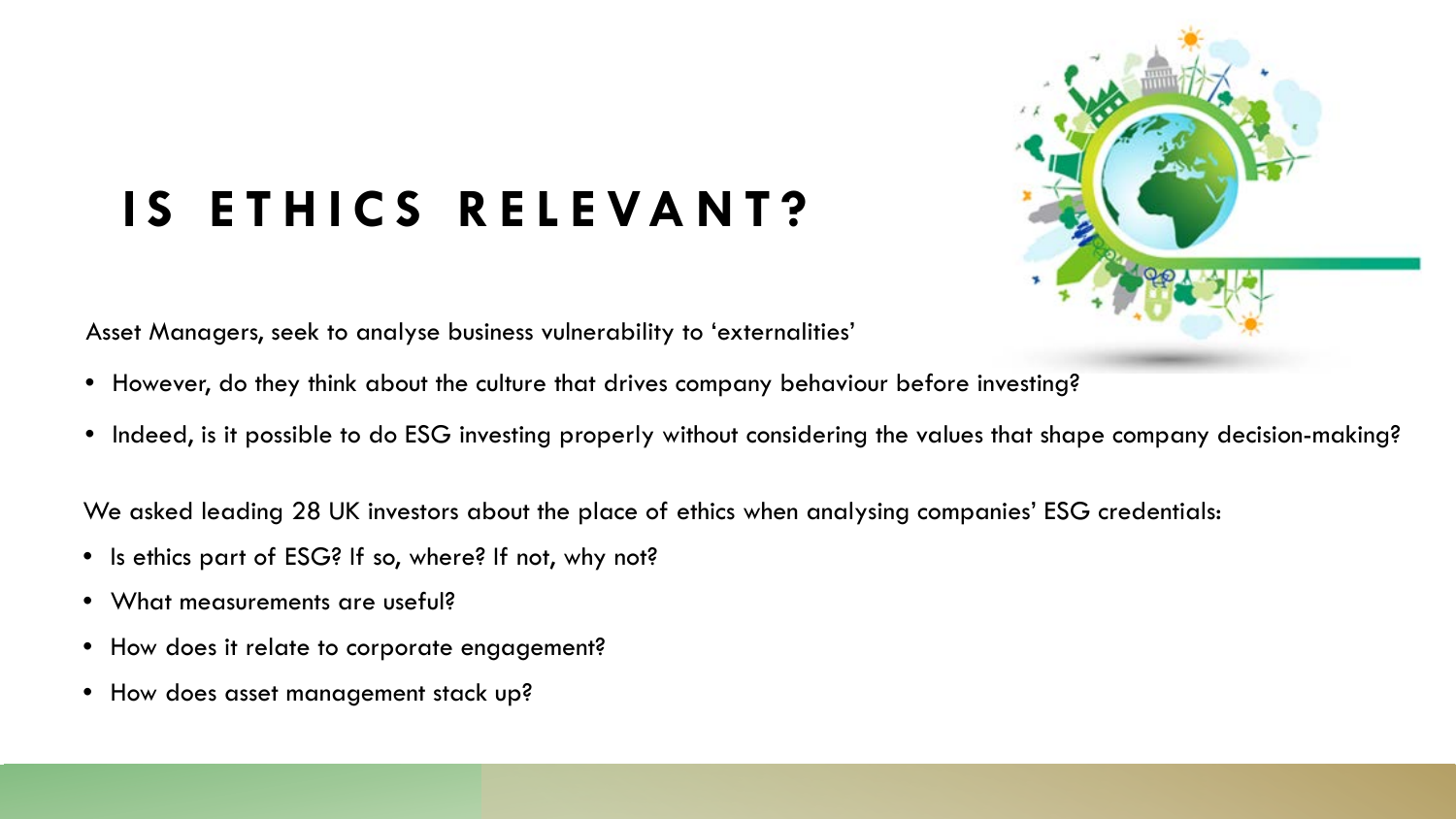

# **IS ETHICS RELEVANT?**

Asset Managers, seek to analyse business vulnerability to 'externalities'

- However, do they think about the culture that drives company behaviour before investing?
- Indeed, is it possible to do ESG investing properly without considering the values that shape company decision-making?

We asked leading 28 UK investors about the place of ethics when analysing companies' ESG credentials:

- Is ethics part of ESG? If so, where? If not, why not?
- What measurements are useful?
- How does it relate to corporate engagement?
- How does asset management stack up?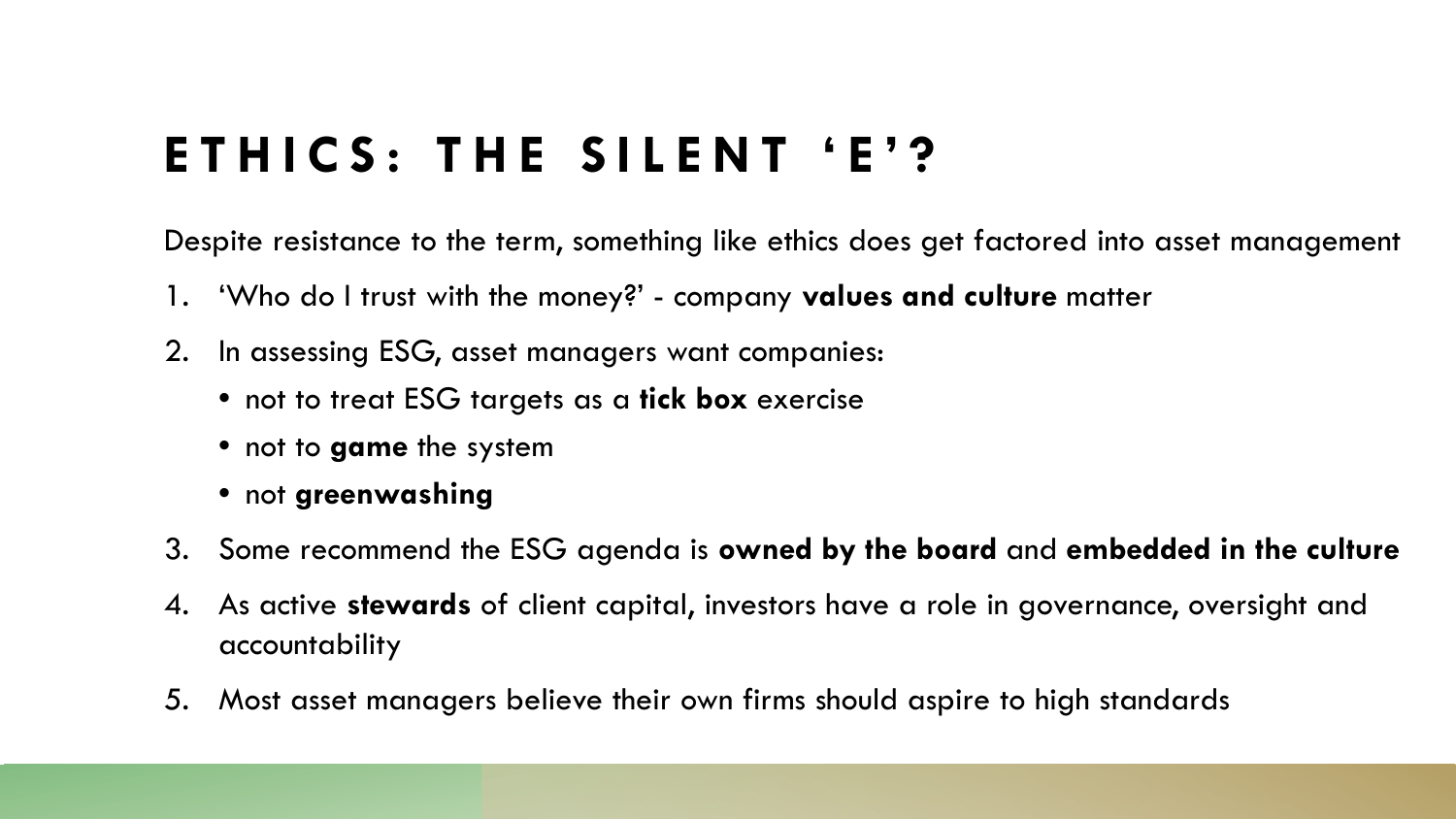## **ETHICS: THE SILENT 'E'?**

Despite resistance to the term, something like ethics does get factored into asset management

- 1. 'Who do I trust with the money?' company **values and culture** matter
- 2. In assessing ESG, asset managers want companies:
	- not to treat ESG targets as a **tick box** exercise
	- not to **game** the system
	- not **greenwashing**
- 3. Some recommend the ESG agenda is **owned by the board** and **embedded in the culture**
- 4. As active **stewards** of client capital, investors have a role in governance, oversight and accountability
- 5. Most asset managers believe their own firms should aspire to high standards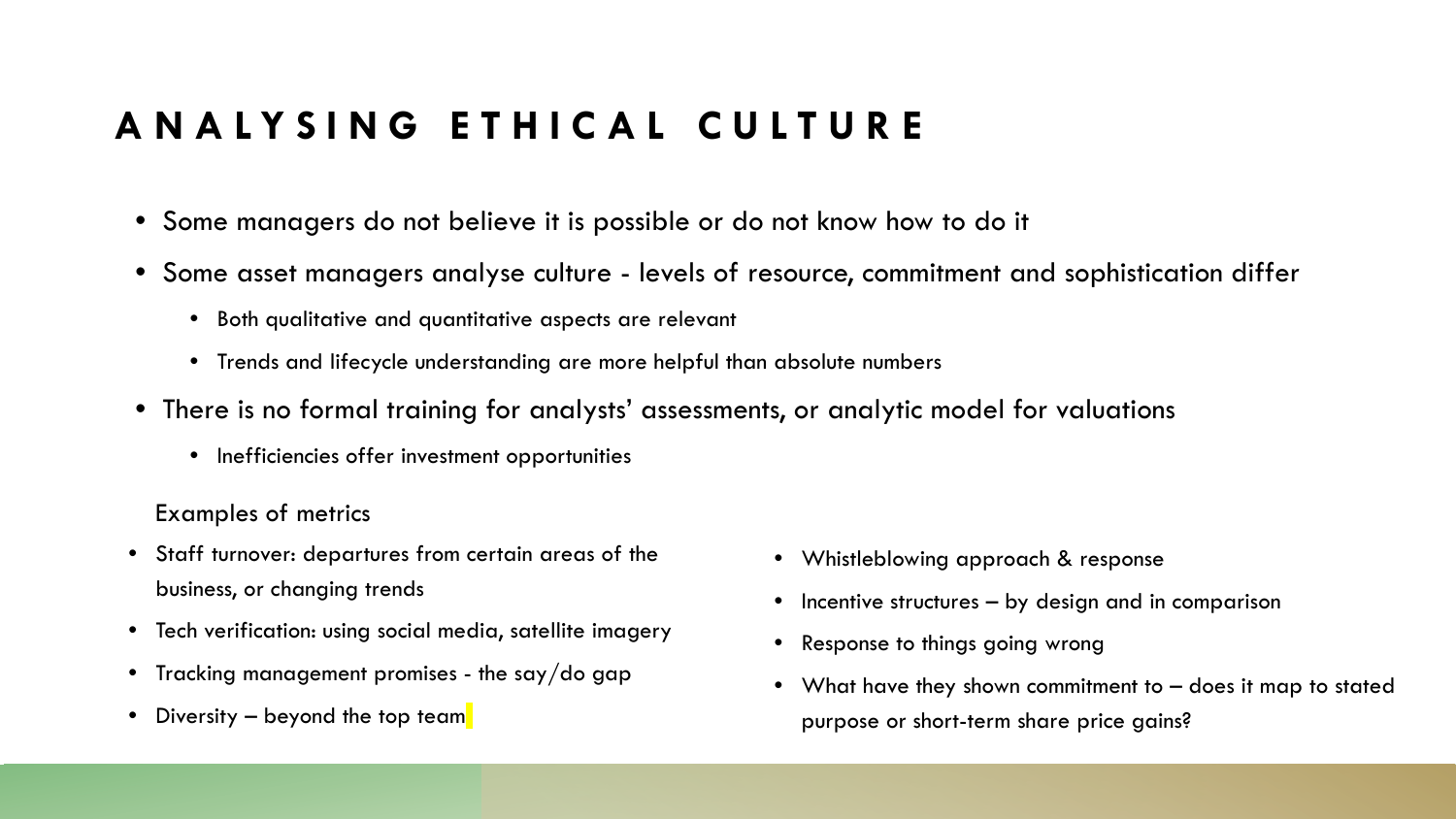### **ANALYSING ETHICAL CULTURE**

- Some managers do not believe it is possible or do not know how to do it
- Some asset managers analyse culture levels of resource, commitment and sophistication differ
	- Both qualitative and quantitative aspects are relevant
	- Trends and lifecycle understanding are more helpful than absolute numbers
- There is no formal training for analysts' assessments, or analytic model for valuations
	- Inefficiencies offer investment opportunities

### Examples of metrics

- Staff turnover: departures from certain areas of the business, or changing trends
- Tech verification: using social media, satellite imagery
- Tracking management promises the say/do gap
- Diversity  $-$  beyond the top team
- Whistleblowing approach & response
- Incentive structures by design and in comparison
- Response to things going wrong
- What have they shown commitment to does it map to stated purpose or short-term share price gains?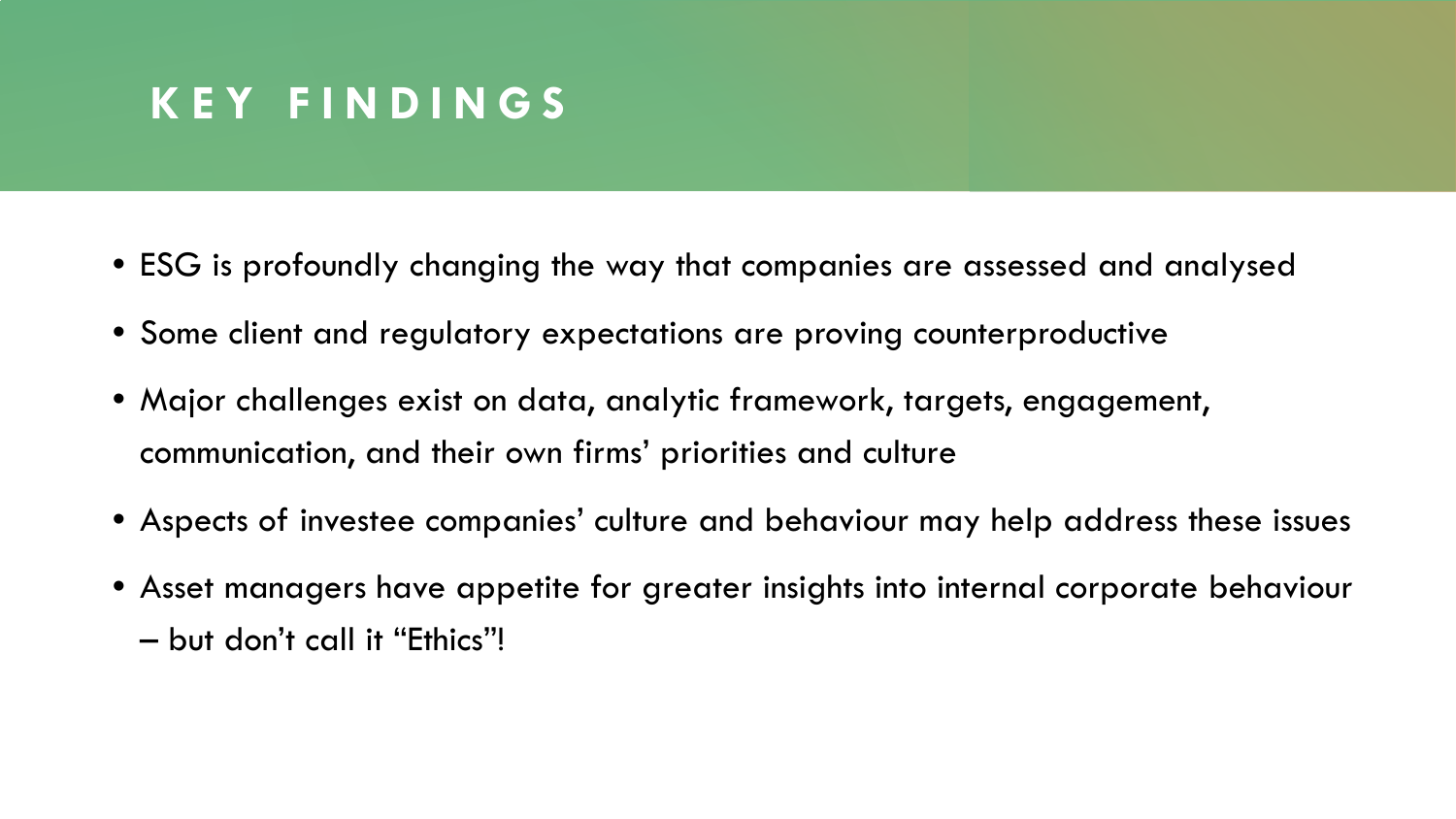### **KEY FINDINGS**

- ESG is profoundly changing the way that companies are assessed and analysed
- Some client and regulatory expectations are proving counterproductive
- Major challenges exist on data, analytic framework, targets, engagement, communication, and their own firms' priorities and culture
- Aspects of investee companies' culture and behaviour may help address these issues
- Asset managers have appetite for greater insights into internal corporate behaviour
	- but don't call it "Ethics"!